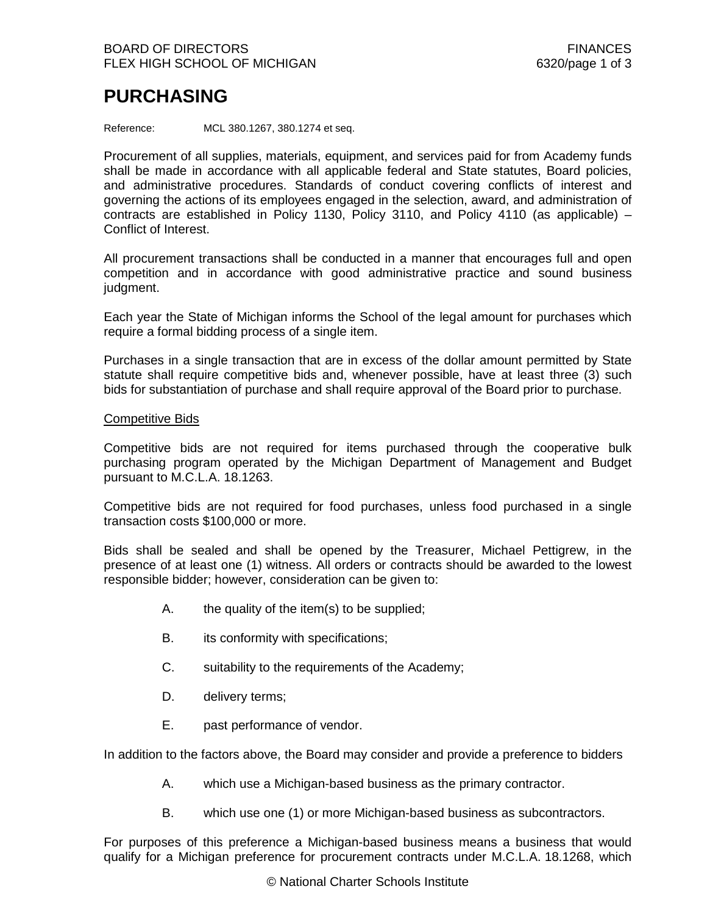## **PURCHASING**

Reference: MCL 380.1267, 380.1274 et seq.

Procurement of all supplies, materials, equipment, and services paid for from Academy funds shall be made in accordance with all applicable federal and State statutes, Board policies, and administrative procedures. Standards of conduct covering conflicts of interest and governing the actions of its employees engaged in the selection, award, and administration of contracts are established in Policy 1130, Policy 3110, and Policy 4110 (as applicable)  $-$ Conflict of Interest.

All procurement transactions shall be conducted in a manner that encourages full and open competition and in accordance with good administrative practice and sound business judgment.

Each year the State of Michigan informs the School of the legal amount for purchases which require a formal bidding process of a single item.

Purchases in a single transaction that are in excess of the dollar amount permitted by State statute shall require competitive bids and, whenever possible, have at least three (3) such bids for substantiation of purchase and shall require approval of the Board prior to purchase.

## Competitive Bids

Competitive bids are not required for items purchased through the cooperative bulk purchasing program operated by the Michigan Department of Management and Budget pursuant to M.C.L.A. 18.1263.

Competitive bids are not required for food purchases, unless food purchased in a single transaction costs \$100,000 or more.

Bids shall be sealed and shall be opened by the Treasurer, Michael Pettigrew, in the presence of at least one (1) witness. All orders or contracts should be awarded to the lowest responsible bidder; however, consideration can be given to:

- A. the quality of the item(s) to be supplied;
- B. its conformity with specifications;
- C. suitability to the requirements of the Academy;
- D. delivery terms;
- E. past performance of vendor.

In addition to the factors above, the Board may consider and provide a preference to bidders

- A. which use a Michigan-based business as the primary contractor.
- B. which use one (1) or more Michigan-based business as subcontractors.

For purposes of this preference a Michigan-based business means a business that would qualify for a Michigan preference for procurement contracts under M.C.L.A. 18.1268, which

© National Charter Schools Institute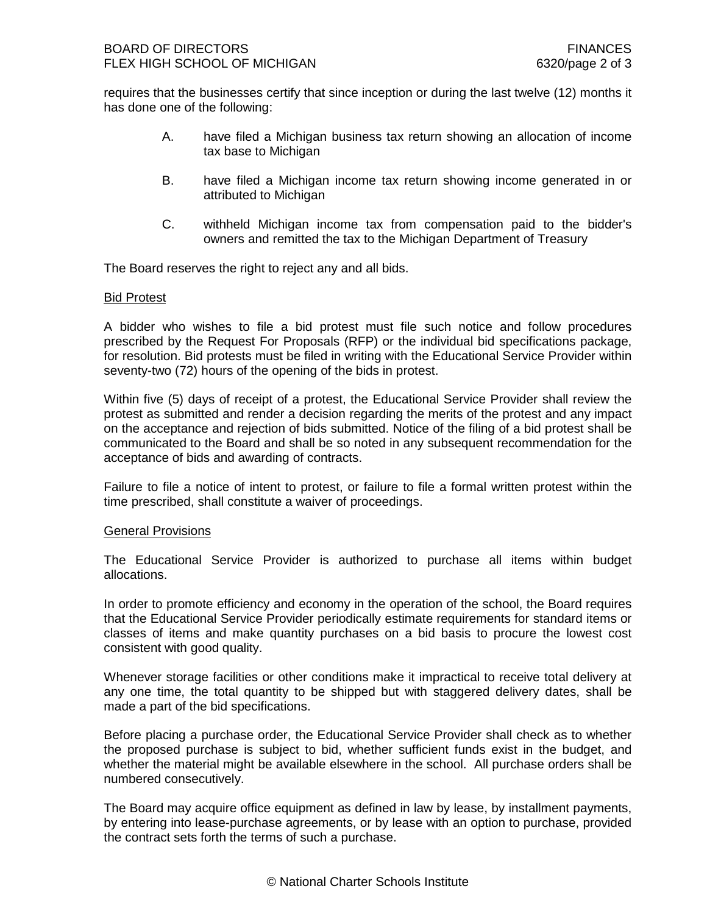requires that the businesses certify that since inception or during the last twelve (12) months it has done one of the following:

- A. have filed a Michigan business tax return showing an allocation of income tax base to Michigan
- B. have filed a Michigan income tax return showing income generated in or attributed to Michigan
- C. withheld Michigan income tax from compensation paid to the bidder's owners and remitted the tax to the Michigan Department of Treasury

The Board reserves the right to reject any and all bids.

## Bid Protest

A bidder who wishes to file a bid protest must file such notice and follow procedures prescribed by the Request For Proposals (RFP) or the individual bid specifications package, for resolution. Bid protests must be filed in writing with the Educational Service Provider within seventy-two (72) hours of the opening of the bids in protest.

Within five (5) days of receipt of a protest, the Educational Service Provider shall review the protest as submitted and render a decision regarding the merits of the protest and any impact on the acceptance and rejection of bids submitted. Notice of the filing of a bid protest shall be communicated to the Board and shall be so noted in any subsequent recommendation for the acceptance of bids and awarding of contracts.

Failure to file a notice of intent to protest, or failure to file a formal written protest within the time prescribed, shall constitute a waiver of proceedings.

## General Provisions

The Educational Service Provider is authorized to purchase all items within budget allocations.

In order to promote efficiency and economy in the operation of the school, the Board requires that the Educational Service Provider periodically estimate requirements for standard items or classes of items and make quantity purchases on a bid basis to procure the lowest cost consistent with good quality.

Whenever storage facilities or other conditions make it impractical to receive total delivery at any one time, the total quantity to be shipped but with staggered delivery dates, shall be made a part of the bid specifications.

Before placing a purchase order, the Educational Service Provider shall check as to whether the proposed purchase is subject to bid, whether sufficient funds exist in the budget, and whether the material might be available elsewhere in the school. All purchase orders shall be numbered consecutively.

The Board may acquire office equipment as defined in law by lease, by installment payments, by entering into lease-purchase agreements, or by lease with an option to purchase, provided the contract sets forth the terms of such a purchase.